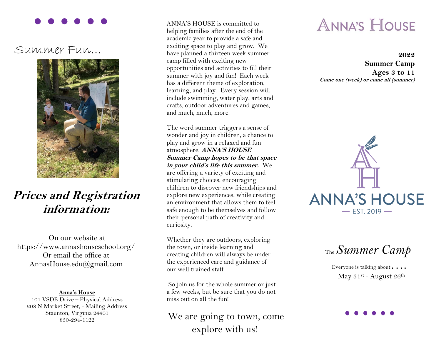## Summer Fun…



# **Prices and Registration information:**

On our website at https://www.annashouseschool.org/ Or email the office at AnnasHouse.edu@gmail.com

### **Anna's House**

101 VSDB Drive – Physical Address 208 N Market Street, - Mailing Address Staunton, Virginia 24401 850-294-1122

 ANNA'S HOUSE is committed to helping families after the end of the academic year to provide a safe and exciting space to play and grow. We have planned a thirteen week summer camp filled with exciting new opportunities and activities to fill their summer with joy and fun! Each week has a different theme of exploration, learning, and play. Every session will include swimming, water play, arts and crafts, outdoor adventures and games, and much, much, more.

The word summer triggers a sense of wonder and joy in children, a chance to play and grow in a relaxed and fun atmosphere. **ANNA'S HOUSE Summer Camp hopes to be that space in your child's life this summer.** We are offering a variety of exciting and stimulating choices, encouraging children to discover new friendships and explore new experiences, while creating an environment that allows them to feel safe enough to be themselves and follow their personal path of creativity and curiosity.

Whether they are outdoors, exploring the town, or inside learning and creating children will always be under the experienced care and guidance of our well trained staff.

So join us for the whole summer or just a few weeks, but be sure that you do not miss out on all the fun!

We are going to town, come explore with us!

# **ANNA'S HOUSE**

**2022 Summer Camp Ages 3 to 11 Come one (week) or come all (summer)**



The*Summer Camp*

Everyone is talking about • • • • May  $31^{st}$  - August  $26^{th}$